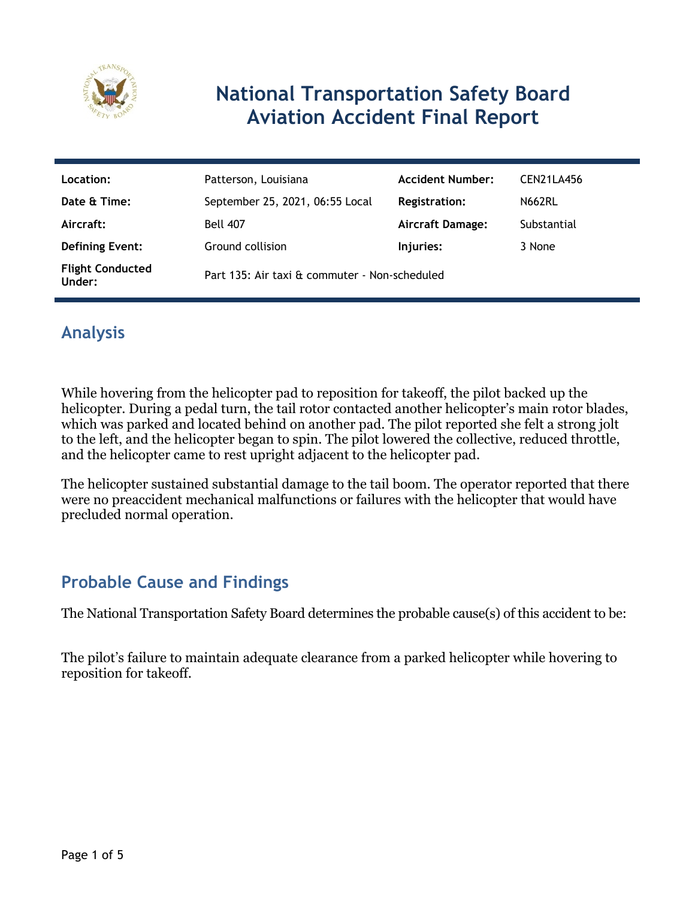

# **National Transportation Safety Board Aviation Accident Final Report**

| Location:                         | Patterson, Louisiana                          | <b>Accident Number:</b> | CEN21LA456    |
|-----------------------------------|-----------------------------------------------|-------------------------|---------------|
| Date & Time:                      | September 25, 2021, 06:55 Local               | <b>Registration:</b>    | <b>N662RL</b> |
| Aircraft:                         | <b>Bell 407</b>                               | <b>Aircraft Damage:</b> | Substantial   |
| <b>Defining Event:</b>            | Ground collision                              | Injuries:               | 3 None        |
| <b>Flight Conducted</b><br>Under: | Part 135: Air taxi & commuter - Non-scheduled |                         |               |

# **Analysis**

While hovering from the helicopter pad to reposition for takeoff, the pilot backed up the helicopter. During a pedal turn, the tail rotor contacted another helicopter's main rotor blades, which was parked and located behind on another pad. The pilot reported she felt a strong jolt to the left, and the helicopter began to spin. The pilot lowered the collective, reduced throttle, and the helicopter came to rest upright adjacent to the helicopter pad.

The helicopter sustained substantial damage to the tail boom. The operator reported that there were no preaccident mechanical malfunctions or failures with the helicopter that would have precluded normal operation.

## **Probable Cause and Findings**

The National Transportation Safety Board determines the probable cause(s) of this accident to be:

The pilot's failure to maintain adequate clearance from a parked helicopter while hovering to reposition for takeoff.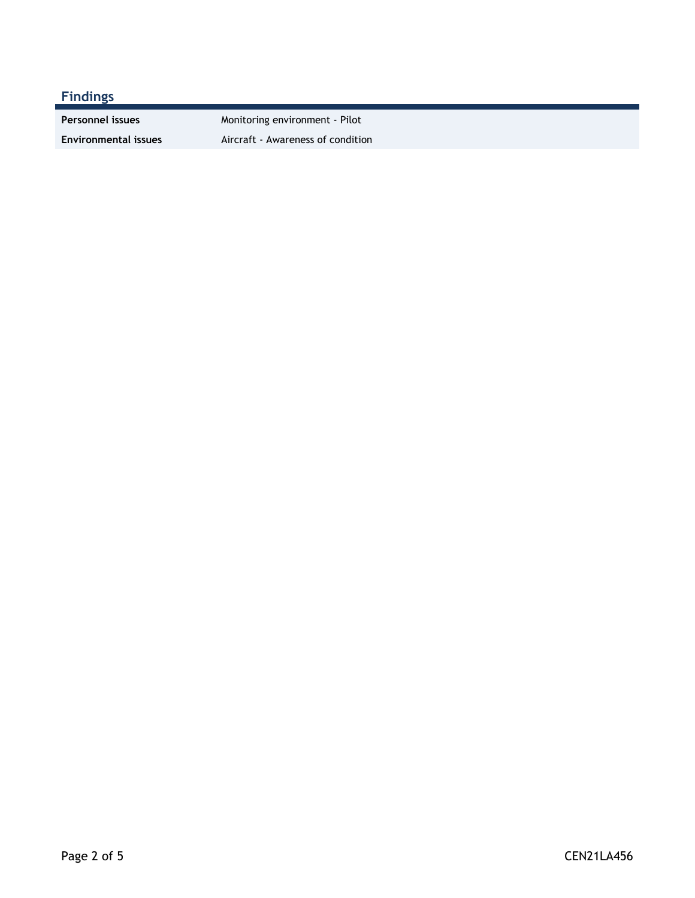### **Findings**

Personnel issues **Monitoring environment** - Pilot **Environmental issues** Aircraft - Awareness of condition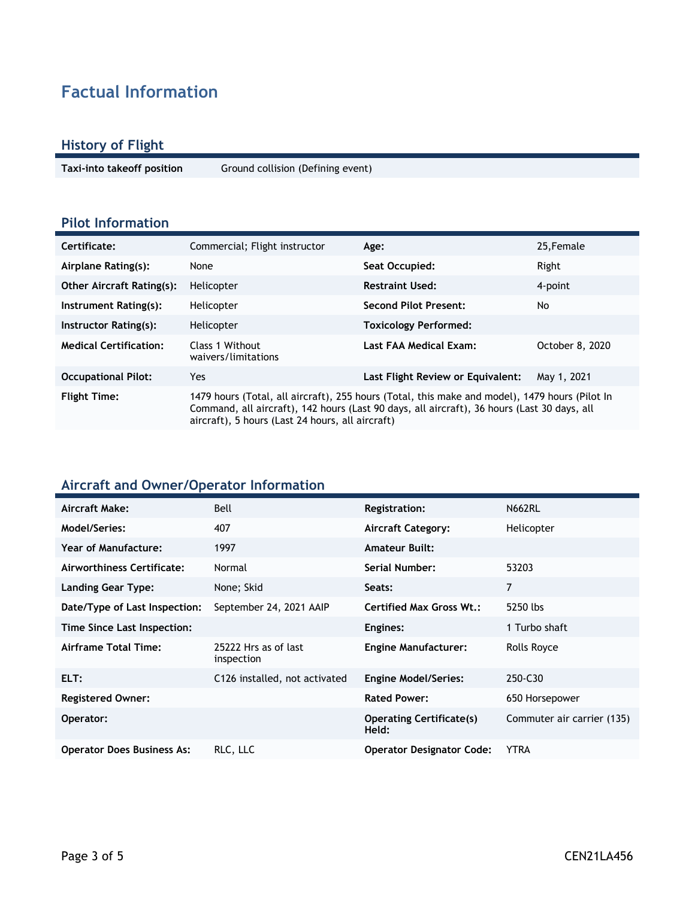# **Factual Information**

#### **History of Flight**

**Taxi-into takeoff position** Ground collision (Defining event)

#### **Pilot Information**

| Certificate:                     | Commercial; Flight instructor                                                                                                                                                                                                                     | Age:                              | 25, Female      |
|----------------------------------|---------------------------------------------------------------------------------------------------------------------------------------------------------------------------------------------------------------------------------------------------|-----------------------------------|-----------------|
| Airplane Rating(s):              | None                                                                                                                                                                                                                                              | Seat Occupied:                    | Right           |
| <b>Other Aircraft Rating(s):</b> | Helicopter                                                                                                                                                                                                                                        | <b>Restraint Used:</b>            | 4-point         |
| Instrument Rating(s):            | Helicopter                                                                                                                                                                                                                                        | <b>Second Pilot Present:</b>      | No              |
| Instructor Rating(s):            | Helicopter                                                                                                                                                                                                                                        | <b>Toxicology Performed:</b>      |                 |
| <b>Medical Certification:</b>    | Class 1 Without<br>waivers/limitations                                                                                                                                                                                                            | Last FAA Medical Exam:            | October 8, 2020 |
| <b>Occupational Pilot:</b>       | Yes                                                                                                                                                                                                                                               | Last Flight Review or Equivalent: | May 1, 2021     |
| <b>Flight Time:</b>              | 1479 hours (Total, all aircraft), 255 hours (Total, this make and model), 1479 hours (Pilot In<br>Command, all aircraft), 142 hours (Last 90 days, all aircraft), 36 hours (Last 30 days, all<br>aircraft), 5 hours (Last 24 hours, all aircraft) |                                   |                 |

#### **Aircraft and Owner/Operator Information**

| Aircraft Make:                    | Bell                               | <b>Registration:</b>                     | <b>N662RL</b>              |
|-----------------------------------|------------------------------------|------------------------------------------|----------------------------|
| Model/Series:                     | 407                                | <b>Aircraft Category:</b>                | Helicopter                 |
| Year of Manufacture:              | 1997                               | <b>Amateur Built:</b>                    |                            |
| Airworthiness Certificate:        | Normal                             | <b>Serial Number:</b>                    | 53203                      |
| Landing Gear Type:                | None; Skid                         | Seats:                                   | 7                          |
| Date/Type of Last Inspection:     | September 24, 2021 AAIP            | <b>Certified Max Gross Wt.:</b>          | 5250 lbs                   |
| Time Since Last Inspection:       |                                    | Engines:                                 | 1 Turbo shaft              |
| Airframe Total Time:              | 25222 Hrs as of last<br>inspection | <b>Engine Manufacturer:</b>              | Rolls Royce                |
| ELT:                              | C126 installed, not activated      | <b>Engine Model/Series:</b>              | 250-C30                    |
| <b>Registered Owner:</b>          |                                    | <b>Rated Power:</b>                      | 650 Horsepower             |
| Operator:                         |                                    | <b>Operating Certificate(s)</b><br>Held: | Commuter air carrier (135) |
| <b>Operator Does Business As:</b> | RLC, LLC                           | <b>Operator Designator Code:</b>         | <b>YTRA</b>                |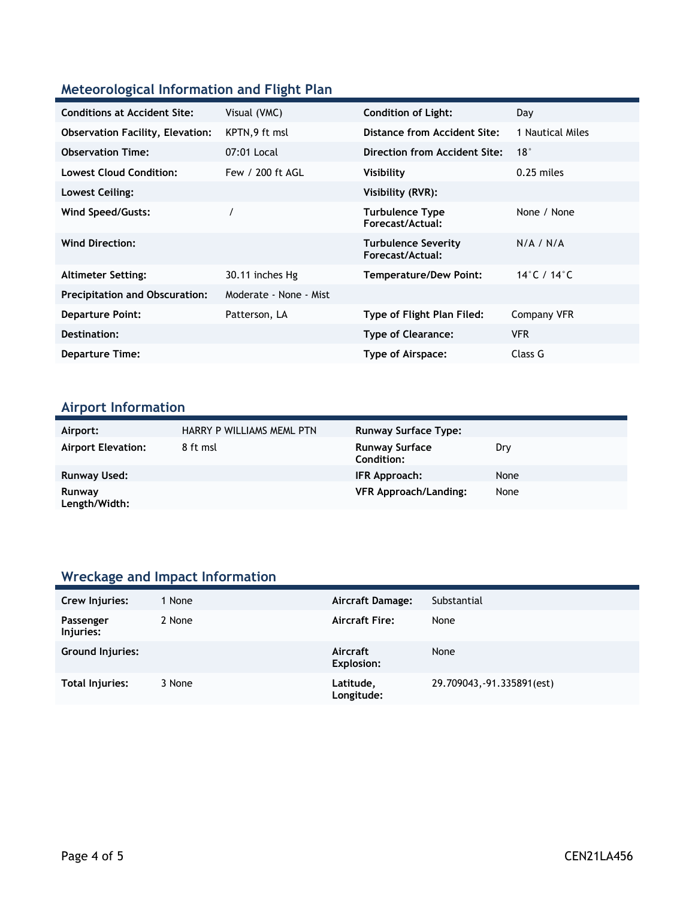### **Meteorological Information and Flight Plan**

| <b>Conditions at Accident Site:</b>     | Visual (VMC)           | <b>Condition of Light:</b>                     | Day              |
|-----------------------------------------|------------------------|------------------------------------------------|------------------|
| <b>Observation Facility, Elevation:</b> | KPTN, 9 ft msl         | Distance from Accident Site:                   | 1 Nautical Miles |
| <b>Observation Time:</b>                | 07:01 Local            | Direction from Accident Site:                  | 18°              |
| <b>Lowest Cloud Condition:</b>          | Few / 200 ft AGL       | Visibility                                     | $0.25$ miles     |
| Lowest Ceiling:                         |                        | Visibility (RVR):                              |                  |
| Wind Speed/Gusts:                       |                        | <b>Turbulence Type</b><br>Forecast/Actual:     | None / None      |
| <b>Wind Direction:</b>                  |                        | <b>Turbulence Severity</b><br>Forecast/Actual: | N/A / N/A        |
| <b>Altimeter Setting:</b>               | 30.11 inches Hg        | Temperature/Dew Point:                         | 14°C / 14°C      |
| <b>Precipitation and Obscuration:</b>   | Moderate - None - Mist |                                                |                  |
| <b>Departure Point:</b>                 | Patterson, LA          | Type of Flight Plan Filed:                     | Company VFR      |
| Destination:                            |                        | <b>Type of Clearance:</b>                      | <b>VFR</b>       |
| <b>Departure Time:</b>                  |                        | Type of Airspace:                              | Class G          |

# **Airport Information**

| Airport:                  | HARRY P WILLIAMS MEML PTN | <b>Runway Surface Type:</b>                |      |
|---------------------------|---------------------------|--------------------------------------------|------|
| <b>Airport Elevation:</b> | 8 ft msl                  | <b>Runway Surface</b><br><b>Condition:</b> | Dry  |
| Runway Used:              |                           | IFR Approach:                              | None |
| Runway<br>Length/Width:   |                           | VFR Approach/Landing:                      | None |

## **Wreckage and Impact Information**

| Crew Injuries:         | 1 None | <b>Aircraft Damage:</b> | Substantial                |
|------------------------|--------|-------------------------|----------------------------|
|                        |        |                         |                            |
| Passenger<br>Injuries: | 2 None | <b>Aircraft Fire:</b>   | None                       |
| Ground Injuries:       |        | Aircraft<br>Explosion:  | None                       |
| Total Injuries:        | 3 None | Latitude,<br>Longitude: | 29.709043, -91.335891(est) |